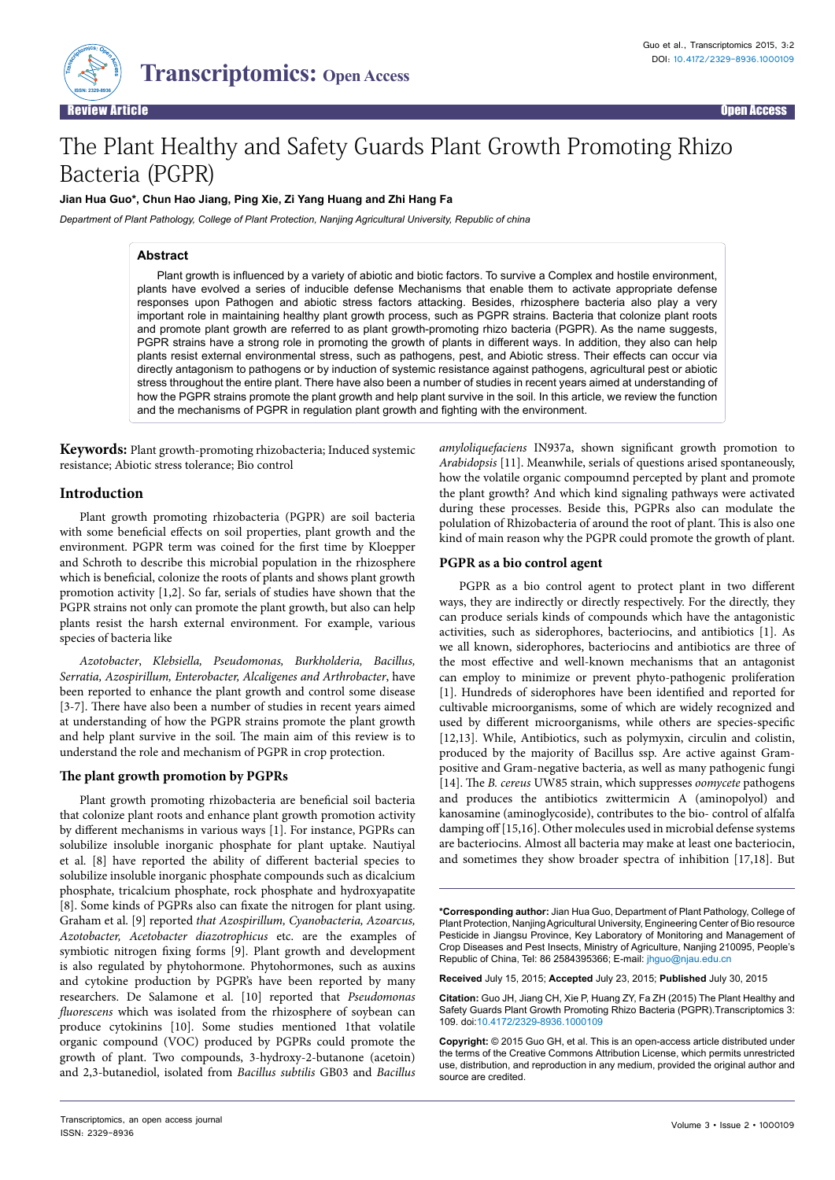

# The Plant Healthy and Safety Guards Plant Growth Promoting Rhizo Bacteria (PGPR)

## **Jian Hua Guo\*, Chun Hao Jiang, Ping Xie, Zi Yang Huang and Zhi Hang Fa**

*Department of Plant Pathology, College of Plant Protection, Nanjing Agricultural University, Republic of china* 

## **Abstract**

Plant growth is influenced by a variety of abiotic and biotic factors. To survive a Complex and hostile environment, plants have evolved a series of inducible defense Mechanisms that enable them to activate appropriate defense responses upon Pathogen and abiotic stress factors attacking. Besides, rhizosphere bacteria also play a very important role in maintaining healthy plant growth process, such as PGPR strains. Bacteria that colonize plant roots and promote plant growth are referred to as plant growth-promoting rhizo bacteria (PGPR). As the name suggests, PGPR strains have a strong role in promoting the growth of plants in different ways. In addition, they also can help plants resist external environmental stress, such as pathogens, pest, and Abiotic stress. Their effects can occur via directly antagonism to pathogens or by induction of systemic resistance against pathogens, agricultural pest or abiotic stress throughout the entire plant. There have also been a number of studies in recent years aimed at understanding of how the PGPR strains promote the plant growth and help plant survive in the soil. In this article, we review the function and the mechanisms of PGPR in regulation plant growth and fighting with the environment.

**Keywords:** Plant growth-promoting rhizobacteria; Induced systemic resistance; Abiotic stress tolerance; Bio control

#### **Introduction**

Plant growth promoting rhizobacteria (PGPR) are soil bacteria with some beneficial effects on soil properties, plant growth and the environment. PGPR term was coined for the first time by Kloepper and Schroth to describe this microbial population in the rhizosphere which is beneficial, colonize the roots of plants and shows plant growth promotion activity [1,2]. So far, serials of studies have shown that the PGPR strains not only can promote the plant growth, but also can help plants resist the harsh external environment. For example, various species of bacteria like

*Azotobacter*, *Klebsiella, Pseudomonas, Burkholderia, Bacillus, Serratia, Azospirillum, Enterobacter, Alcaligenes and Arthrobacter*, have been reported to enhance the plant growth and control some disease [3-7]. There have also been a number of studies in recent years aimed at understanding of how the PGPR strains promote the plant growth and help plant survive in the soil. The main aim of this review is to understand the role and mechanism of PGPR in crop protection.

### **The plant growth promotion by PGPRs**

Plant growth promoting rhizobacteria are beneficial soil bacteria that colonize plant roots and enhance plant growth promotion activity by different mechanisms in various ways [1]. For instance, PGPRs can solubilize insoluble inorganic phosphate for plant uptake. Nautiyal et al. [8] have reported the ability of different bacterial species to solubilize insoluble inorganic phosphate compounds such as dicalcium phosphate, tricalcium phosphate, rock phosphate and hydroxyapatite [8]. Some kinds of PGPRs also can fixate the nitrogen for plant using. Graham et al. [9] reported *that Azospirillum, Cyanobacteria, Azoarcus, Azotobacter, Acetobacter diazotrophicus* etc. are the examples of symbiotic nitrogen fixing forms [9]. Plant growth and development is also regulated by phytohormone. Phytohormones, such as auxins and cytokine production by PGPR's have been reported by many researchers. De Salamone et al. [10] reported that *Pseudomonas fluorescens* which was isolated from the rhizosphere of soybean can produce cytokinins [10]. Some studies mentioned 1that volatile organic compound (VOC) produced by PGPRs could promote the growth of plant. Two compounds, 3-hydroxy-2-butanone (acetoin) and 2,3-butanediol, isolated from *Bacillus subtilis* GB03 and *Bacillus*  *amyloliquefaciens* IN937a, shown significant growth promotion to *Arabidopsis* [11]. Meanwhile, serials of questions arised spontaneously, how the volatile organic compoumnd percepted by plant and promote the plant growth? And which kind signaling pathways were activated during these processes. Beside this, PGPRs also can modulate the polulation of Rhizobacteria of around the root of plant. This is also one kind of main reason why the PGPR could promote the growth of plant.

#### **PGPR as a bio control agent**

PGPR as a bio control agent to protect plant in two different ways, they are indirectly or directly respectively. For the directly, they can produce serials kinds of compounds which have the antagonistic activities, such as siderophores, bacteriocins, and antibiotics [1]. As we all known, siderophores, bacteriocins and antibiotics are three of the most effective and well-known mechanisms that an antagonist can employ to minimize or prevent phyto-pathogenic proliferation [1]. Hundreds of siderophores have been identified and reported for cultivable microorganisms, some of which are widely recognized and used by different microorganisms, while others are species-specific [12,13]. While, Antibiotics, such as polymyxin, circulin and colistin, produced by the majority of Bacillus ssp. Are active against Grampositive and Gram-negative bacteria, as well as many pathogenic fungi [14]. The *B. cereus* UW85 strain, which suppresses *oomycete* pathogens and produces the antibiotics zwittermicin A (aminopolyol) and kanosamine (aminoglycoside), contributes to the bio- control of alfalfa damping off [15,16]. Other molecules used in microbial defense systems are bacteriocins. Almost all bacteria may make at least one bacteriocin, and sometimes they show broader spectra of inhibition [17,18]. But

**\*Corresponding author:** Jian Hua Guo, Department of Plant Pathology, College of Plant Protection, Nanjing Agricultural University, Engineering Center of Bio resource Pesticide in Jiangsu Province, Key Laboratory of Monitoring and Management of Crop Diseases and Pest Insects, Ministry of Agriculture, Nanjing 210095, People's Republic of China, Tel: 86 2584395366; E-mail: jhguo@njau.edu.cn

**Received** July 15, 2015; **Accepted** July 23, 2015; **Published** July 30, 2015

**Citation:** Guo JH, Jiang CH, Xie P, Huang ZY, Fa ZH (2015) The Plant Healthy and Safety Guards Plant Growth Promoting Rhizo Bacteria (PGPR).Transcriptomics 3: 109. doi:10.4172/2329-8936.1000109

**Copyright:** © 2015 Guo GH, et al. This is an open-access article distributed under the terms of the Creative Commons Attribution License, which permits unrestricted use, distribution, and reproduction in any medium, provided the original author and source are credited.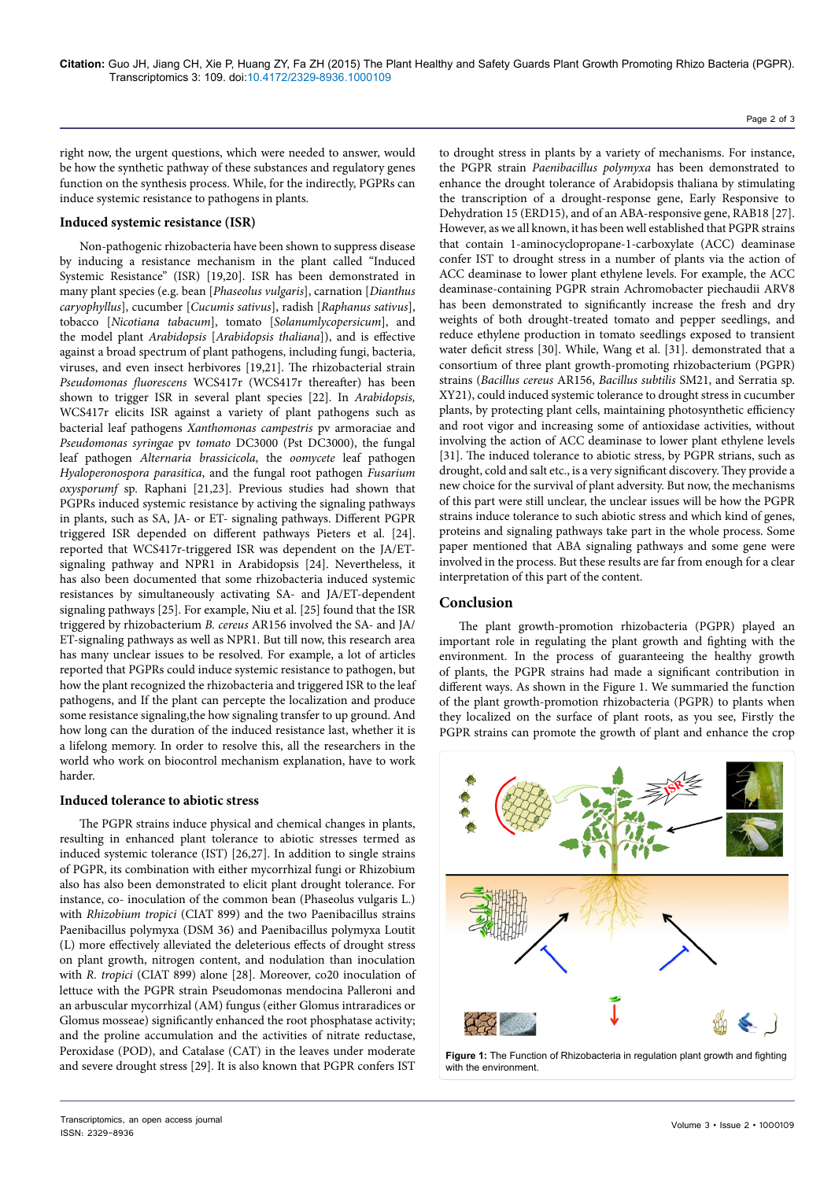Page 2 of 3

right now, the urgent questions, which were needed to answer, would be how the synthetic pathway of these substances and regulatory genes function on the synthesis process. While, for the indirectly, PGPRs can induce systemic resistance to pathogens in plants.

## **Induced systemic resistance (ISR)**

Non-pathogenic rhizobacteria have been shown to suppress disease by inducing a resistance mechanism in the plant called "Induced Systemic Resistance" (ISR) [19,20]. ISR has been demonstrated in many plant species (e.g. bean [*Phaseolus vulgaris*], carnation [*Dianthus caryophyllus*], cucumber [*Cucumis sativus*], radish [*Raphanus sativus*], tobacco [*Nicotiana tabacum*], tomato [*Solanumlycopersicum*], and the model plant *Arabidopsis* [*Arabidopsis thaliana*]), and is effective against a broad spectrum of plant pathogens, including fungi, bacteria, viruses, and even insect herbivores [19,21]. The rhizobacterial strain *Pseudomonas fluorescens* WCS417r (WCS417r thereafter) has been shown to trigger ISR in several plant species [22]. In *Arabidopsis,* WCS417r elicits ISR against a variety of plant pathogens such as bacterial leaf pathogens *Xanthomonas campestris* pv armoraciae and *Pseudomonas syringae* pv *tomato* DC3000 (Pst DC3000), the fungal leaf pathogen *Alternaria brassicicola*, the *oomycete* leaf pathogen *Hyaloperonospora parasitica*, and the fungal root pathogen *Fusarium oxysporumf* sp. Raphani [21,23]. Previous studies had shown that PGPRs induced systemic resistance by activing the signaling pathways in plants, such as SA, JA- or ET- signaling pathways. Different PGPR triggered ISR depended on different pathways Pieters et al. [24]. reported that WCS417r-triggered ISR was dependent on the JA/ETsignaling pathway and NPR1 in Arabidopsis [24]. Nevertheless, it has also been documented that some rhizobacteria induced systemic resistances by simultaneously activating SA- and JA/ET-dependent signaling pathways [25]. For example, Niu et al. [25] found that the ISR triggered by rhizobacterium *B. cereus* AR156 involved the SA- and JA/ ET-signaling pathways as well as NPR1. But till now, this research area has many unclear issues to be resolved. For example, a lot of articles reported that PGPRs could induce systemic resistance to pathogen, but how the plant recognized the rhizobacteria and triggered ISR to the leaf pathogens, and If the plant can percepte the localization and produce some resistance signaling,the how signaling transfer to up ground. And how long can the duration of the induced resistance last, whether it is a lifelong memory. In order to resolve this, all the researchers in the world who work on biocontrol mechanism explanation, have to work harder.

## **Induced tolerance to abiotic stress**

The PGPR strains induce physical and chemical changes in plants, resulting in enhanced plant tolerance to abiotic stresses termed as induced systemic tolerance (IST) [26,27]. In addition to single strains of PGPR, its combination with either mycorrhizal fungi or Rhizobium also has also been demonstrated to elicit plant drought tolerance. For instance, co- inoculation of the common bean (Phaseolus vulgaris L.) with *Rhizobium tropici* (CIAT 899) and the two Paenibacillus strains Paenibacillus polymyxa (DSM 36) and Paenibacillus polymyxa Loutit (L) more effectively alleviated the deleterious effects of drought stress on plant growth, nitrogen content, and nodulation than inoculation with *R. tropici* (CIAT 899) alone [28]. Moreover, co20 inoculation of lettuce with the PGPR strain Pseudomonas mendocina Palleroni and an arbuscular mycorrhizal (AM) fungus (either Glomus intraradices or Glomus mosseae) significantly enhanced the root phosphatase activity; and the proline accumulation and the activities of nitrate reductase, Peroxidase (POD), and Catalase (CAT) in the leaves under moderate and severe drought stress [29]. It is also known that PGPR confers IST

to drought stress in plants by a variety of mechanisms. For instance, the PGPR strain *Paenibacillus polymyxa* has been demonstrated to enhance the drought tolerance of Arabidopsis thaliana by stimulating the transcription of a drought-response gene, Early Responsive to Dehydration 15 (ERD15), and of an ABA-responsive gene, RAB18 [27]. However, as we all known, it has been well established that PGPR strains that contain 1-aminocyclopropane-1-carboxylate (ACC) deaminase confer IST to drought stress in a number of plants via the action of ACC deaminase to lower plant ethylene levels. For example, the ACC deaminase-containing PGPR strain Achromobacter piechaudii ARV8 has been demonstrated to significantly increase the fresh and dry weights of both drought-treated tomato and pepper seedlings, and reduce ethylene production in tomato seedlings exposed to transient water deficit stress [30]. While, Wang et al. [31]. demonstrated that a consortium of three plant growth-promoting rhizobacterium (PGPR) strains (*Bacillus cereus* AR156, *Bacillus subtilis* SM21, and Serratia sp. XY21), could induced systemic tolerance to drought stress in cucumber plants, by protecting plant cells, maintaining photosynthetic efficiency and root vigor and increasing some of antioxidase activities, without involving the action of ACC deaminase to lower plant ethylene levels [31]. The induced tolerance to abiotic stress, by PGPR strians, such as drought, cold and salt etc., is a very significant discovery. They provide a new choice for the survival of plant adversity. But now, the mechanisms of this part were still unclear, the unclear issues will be how the PGPR strains induce tolerance to such abiotic stress and which kind of genes, proteins and signaling pathways take part in the whole process. Some paper mentioned that ABA signaling pathways and some gene were involved in the process. But these results are far from enough for a clear interpretation of this part of the content.

## **Conclusion**

The plant growth-promotion rhizobacteria (PGPR) played an important role in regulating the plant growth and fighting with the environment. In the process of guaranteeing the healthy growth of plants, the PGPR strains had made a significant contribution in different ways. As shown in the Figure 1. We summaried the function of the plant growth-promotion rhizobacteria (PGPR) to plants when they localized on the surface of plant roots, as you see, Firstly the PGPR strains can promote the growth of plant and enhance the crop